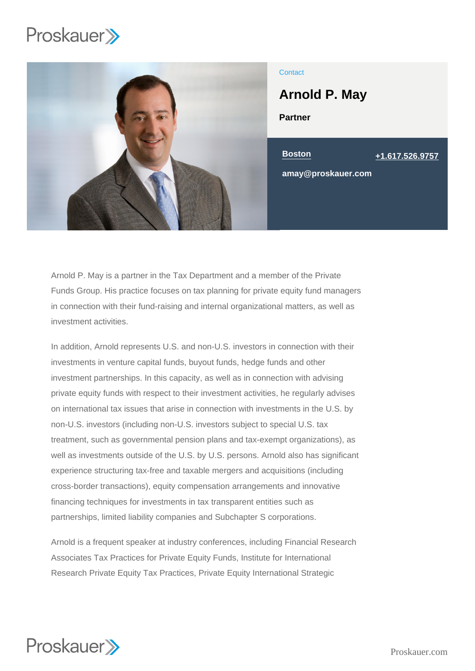

# **Contact**

Partner Arnold P. May Boston [+1.617.526.9757](tel:+1.617.526.9757) amay@proskauer.com

Arnold P. May is a partner in the Tax Department and a member of the Private Funds Group. His practice focuses on tax planning for private equity fund managers in connection with their fund-raising and internal organizational matters, as well as investment activities.

In addition, Arnold represents U.S. and non-U.S. investors in connection with their investments in venture capital funds, buyout funds, hedge funds and other investment partnerships. In this capacity, as well as in connection with advising private equity funds with respect to their investment activities, he regularly advises on international tax issues that arise in connection with investments in the U.S. by non-U.S. investors (including non-U.S. investors subject to special U.S. tax treatment, such as governmental pension plans and tax-exempt organizations), as well as investments outside of the U.S. by U.S. persons. Arnold also has significant experience structuring tax-free and taxable mergers and acquisitions (including cross-border transactions), equity compensation arrangements and innovative financing techniques for investments in tax transparent entities such as partnerships, limited liability companies and Subchapter S corporations.

Arnold is a frequent speaker at industry conferences, including Financial Research Associates Tax Practices for Private Equity Funds, Institute for International Research Private Equity Tax Practices, Private Equity International Strategic